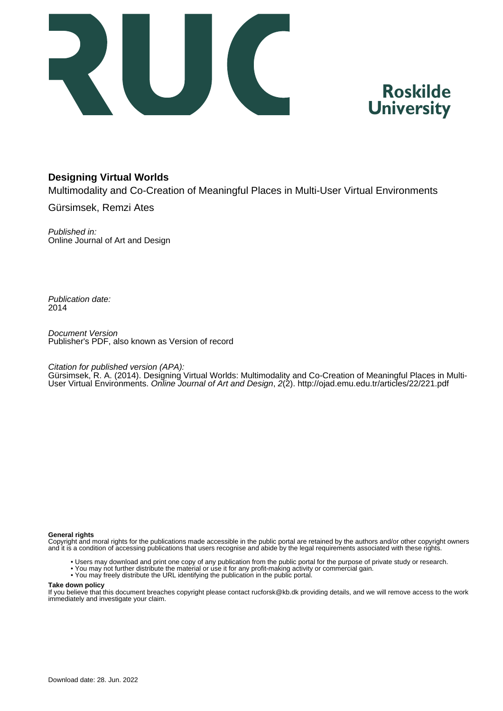



## **Designing Virtual Worlds**

Multimodality and Co-Creation of Meaningful Places in Multi-User Virtual Environments

Gürsimsek, Remzi Ates

Published in: Online Journal of Art and Design

Publication date: 2014

Document Version Publisher's PDF, also known as Version of record

Citation for published version (APA):

Gürsimsek, R. A. (2014). Designing Virtual Worlds: Multimodality and Co-Creation of Meaningful Places in Multi-User Virtual Environments. Online Journal of Art and Design, 2(2).<http://ojad.emu.edu.tr/articles/22/221.pdf>

#### **General rights**

Copyright and moral rights for the publications made accessible in the public portal are retained by the authors and/or other copyright owners and it is a condition of accessing publications that users recognise and abide by the legal requirements associated with these rights.

- Users may download and print one copy of any publication from the public portal for the purpose of private study or research.
- You may not further distribute the material or use it for any profit-making activity or commercial gain.
- You may freely distribute the URL identifying the publication in the public portal.

#### **Take down policy**

If you believe that this document breaches copyright please contact rucforsk@kb.dk providing details, and we will remove access to the work immediately and investigate your claim.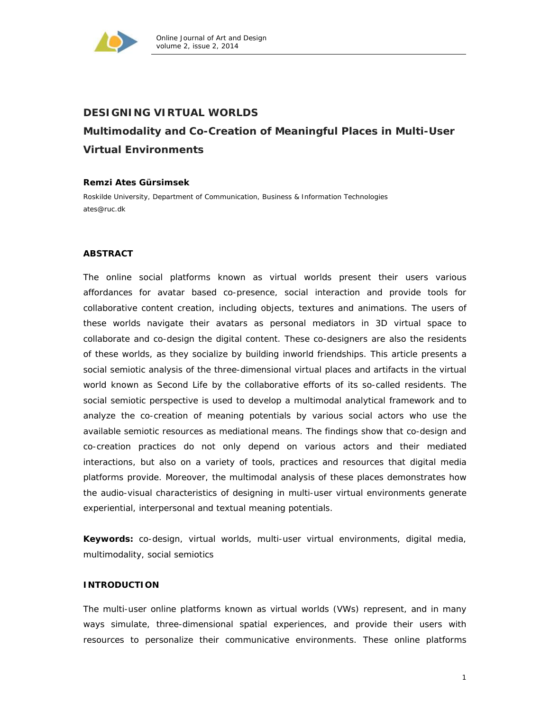

# **DESIGNING VIRTUAL WORLDS Multimodality and Co-Creation of Meaningful Places in Multi-User Virtual Environments**

#### **Remzi Ates Gürsimsek**

Roskilde University, Department of Communication, Business & Information Technologies ates@ruc.dk

#### **ABSTRACT**

The online social platforms known as *virtual worlds* present their users various affordances for avatar based co-presence, social interaction and provide tools for collaborative content creation, including objects, textures and animations. The users of these worlds navigate their avatars as personal mediators in 3D virtual space to collaborate and co-design the digital content. These co-designers are also the *residents* of these worlds, as they socialize by building inworld friendships. This article presents a social semiotic analysis of the three-dimensional virtual places and artifacts in the virtual world known as Second Life by the collaborative efforts of its so-called residents. The social semiotic perspective is used to develop a multimodal analytical framework and to analyze the co-creation of meaning potentials by various social actors who use the available semiotic resources as mediational means. The findings show that co-design and co-creation practices do not only depend on various actors and their mediated interactions, but also on a variety of tools, practices and resources that digital media platforms provide. Moreover, the multimodal analysis of these places demonstrates how the audio-visual characteristics of designing in multi-user virtual environments generate experiential, interpersonal and textual meaning potentials.

**Keywords:** co-design, virtual worlds, multi-user virtual environments, digital media, multimodality, social semiotics

#### **INTRODUCTION**

The multi-user online platforms known as virtual worlds (VWs) represent, and in many ways simulate, three-dimensional spatial experiences, and provide their users with resources to personalize their communicative environments. These online platforms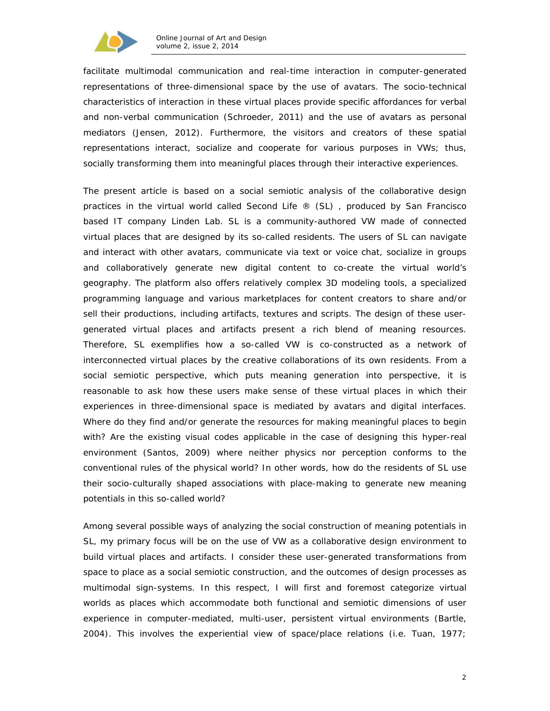

facilitate multimodal communication and real-time interaction in computer-generated representations of three-dimensional space by the use of avatars. The socio-technical characteristics of interaction in these virtual places provide specific affordances for verbal and non-verbal communication (Schroeder, 2011) and the use of avatars as personal mediators (Jensen, 2012). Furthermore, the visitors and creators of these spatial representations interact, socialize and cooperate for various purposes in VWs; thus, socially transforming them into meaningful places through their interactive experiences.

The present article is based on a social semiotic analysis of the collaborative design practices in the virtual world called *Second Life ®* (SL) , produced by San Francisco based IT company Linden Lab. SL is a community-authored VW made of connected virtual places that are designed by its so-called *residents*. The users of SL can navigate and interact with other avatars, communicate via text or voice chat, socialize in groups and collaboratively generate new digital content to co-create the virtual world's geography. The platform also offers relatively complex 3D modeling tools, a specialized programming language and various marketplaces for content creators to share and/or sell their productions, including artifacts, textures and scripts. The design of these usergenerated virtual places and artifacts present a rich blend of meaning resources. Therefore, SL exemplifies how a so-called VW is co-constructed as a network of interconnected virtual places by the creative collaborations of its own residents. From a social semiotic perspective, which puts meaning generation into perspective, it is reasonable to ask how these users make sense of these virtual places in which their experiences in three-dimensional space is mediated by avatars and digital interfaces. Where do they find and/or generate the resources for making meaningful places to begin with? Are the existing visual codes applicable in the case of designing this hyper-real environment (Santos, 2009) where neither physics nor perception conforms to the conventional rules of the physical world? In other words, how do the residents of SL use their socio-culturally shaped associations with place-making to generate new meaning potentials in this so-called *world*?

Among several possible ways of analyzing the social construction of meaning potentials in SL, my primary focus will be on the use of VW as a collaborative design environment to build virtual places and artifacts. I consider these user-generated transformations from space to place as a social semiotic construction, and the outcomes of design processes as multimodal sign-systems. In this respect, I will first and foremost categorize virtual worlds as *places* which accommodate both functional and semiotic dimensions of user experience in computer-mediated, multi-user, persistent virtual environments (Bartle, 2004). This involves the *experiential* view of *space/place* relations (i.e. Tuan, 1977;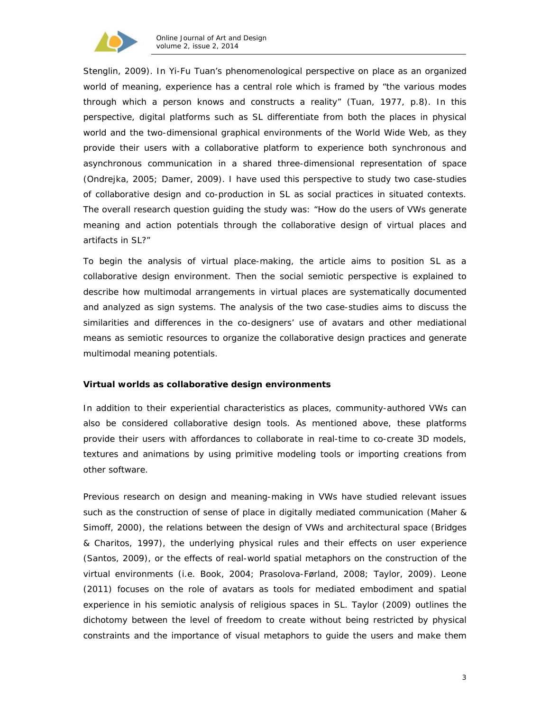

Stenglin, 2009). In Yi-Fu Tuan's phenomenological perspective on place as an organized world of meaning, experience has a central role which is framed by "the various modes through which a person knows and constructs a reality" (Tuan, 1977, p.8). In this perspective, digital platforms such as SL differentiate from both the places in physical world and the two-dimensional graphical environments of the World Wide Web, as they provide their users with a collaborative platform to experience both synchronous and asynchronous communication in a shared three-dimensional representation of space (Ondrejka, 2005; Damer, 2009). I have used this perspective to study two case-studies of collaborative design and co-production in SL as *social practices* in *situated contexts*. The overall research question guiding the study was: "How do the users of VWs generate meaning and action potentials through the collaborative design of virtual places and artifacts in SL?"

To begin the analysis of virtual place-making, the article aims to position SL as a collaborative design environment. Then the social semiotic perspective is explained to describe how multimodal arrangements in virtual places are systematically documented and analyzed as sign systems. The analysis of the two case-studies aims to discuss the similarities and differences in the co-designers' use of avatars and other mediational means as semiotic resources to organize the collaborative design practices and generate multimodal meaning potentials.

#### **Virtual worlds as collaborative design environments**

In addition to their experiential characteristics as places, community-authored VWs can also be considered collaborative design tools. As mentioned above, these platforms provide their users with affordances to collaborate in real-time to co-create 3D models, textures and animations by using primitive modeling tools or importing creations from other software.

Previous research on design and meaning-making in VWs have studied relevant issues such as the construction of *sense of place* in digitally mediated communication (Maher & Simoff, 2000), the relations between the design of VWs and architectural space (Bridges & Charitos, 1997), the underlying physical rules and their effects on user experience (Santos, 2009), or the effects of real-world spatial metaphors on the construction of the virtual environments (i.e. Book, 2004; Prasolova-Førland, 2008; Taylor, 2009). Leone (2011) focuses on the role of avatars as tools for mediated embodiment and spatial experience in his semiotic analysis of religious spaces in SL. Taylor (2009) outlines the dichotomy between the level of freedom to create without being restricted by physical constraints and the importance of visual metaphors to guide the users and make them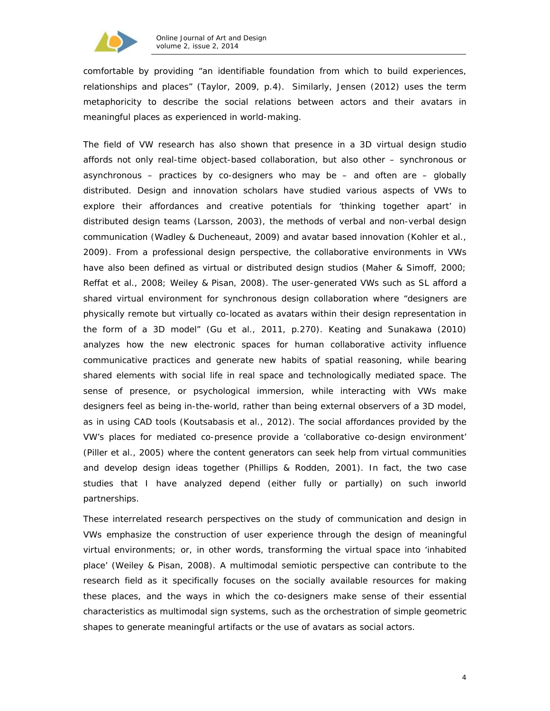

comfortable by providing "an identifiable foundation from which to build experiences, relationships and places" (Taylor, 2009, p.4). Similarly, Jensen (2012) uses the term *metaphoricity* to describe the social relations between actors and their avatars in meaningful places as experienced in world-making.

The field of VW research has also shown that presence in a 3D *virtual design studio*  affords not only real-time object-based collaboration, but also other – synchronous or asynchronous – practices by co-designers who may be – and often are – globally distributed. Design and innovation scholars have studied various aspects of VWs to explore their affordances and creative potentials for 'thinking together apart' in distributed design teams (Larsson, 2003), the methods of verbal and non-verbal design communication (Wadley & Ducheneaut, 2009) and avatar based innovation (Kohler et al., 2009). From a professional design perspective, the collaborative environments in VWs have also been defined as *virtual* or *distributed design* studios (Maher & Simoff, 2000; Reffat et al., 2008; Weiley & Pisan, 2008). The user-generated VWs such as SL afford a shared virtual environment for synchronous design collaboration where "designers are physically remote but virtually co-located as avatars within their design representation in the form of a 3D model" (Gu et al., 2011, p.270). Keating and Sunakawa (2010) analyzes how *the new electronic spaces for human collaborative activity* influence communicative practices and generate *new habits of spatial reasoning,* while bearing shared elements with social life in *real space* and *technologically mediated space*. The *sense of presence*, or *psychological immersion*, while interacting with VWs make designers feel as being *in-the-world*, rather than being external observers of a 3D model, as in using *CAD* tools (Koutsabasis et al., 2012). The social affordances provided by the VW's places for mediated co-presence provide a 'collaborative co-design environment' (Piller et al., 2005) where the content generators can seek help from virtual communities and develop design ideas together (Phillips & Rodden, 2001). In fact, the two case studies that I have analyzed depend (either fully or partially) on such *inworld*  partnerships.

These interrelated research perspectives on the study of communication and design in VWs emphasize the construction of user experience through the design of meaningful virtual environments; or, in other words, transforming the virtual space into 'inhabited place' (Weiley & Pisan, 2008). A multimodal semiotic perspective can contribute to the research field as it specifically focuses on the socially available resources for making these places, and the ways in which the co-designers make sense of their essential characteristics as multimodal sign systems, such as the orchestration of simple geometric shapes to generate meaningful artifacts or the use of avatars as social actors.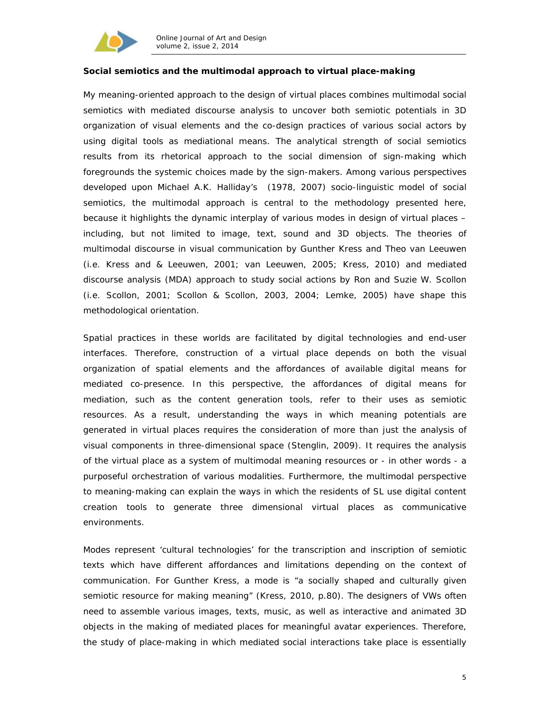

#### **Social semiotics and the multimodal approach to virtual place-making**

My meaning-oriented approach to the design of virtual places combines multimodal social semiotics with mediated discourse analysis to uncover both semiotic potentials in 3D organization of visual elements and the co-design practices of various social actors by using digital tools as mediational means. The analytical strength of social semiotics results from its *rhetorical approach* to the social dimension of sign-making which foregrounds the systemic choices made by the sign-makers. Among various perspectives developed upon Michael A.K. Halliday's (1978, 2007) socio-linguistic model of social semiotics, the *multimodal approach* is central to the methodology presented here, because it highlights the dynamic interplay of various modes in design of virtual places – including, but not limited to image, text, sound and 3D objects. The theories of multimodal discourse in visual communication by Gunther Kress and Theo van Leeuwen (i.e. Kress and & Leeuwen, 2001; van Leeuwen, 2005; Kress, 2010) and mediated discourse analysis (MDA) approach to study social actions by Ron and Suzie W. Scollon (i.e. Scollon, 2001; Scollon & Scollon, 2003, 2004; Lemke, 2005) have shape this methodological orientation.

Spatial practices in these worlds are facilitated by digital technologies and end-user interfaces. Therefore, construction of a virtual place depends on both the visual organization of spatial elements and the affordances of available digital means for mediated co-presence. In this perspective, the affordances of digital means for mediation, such as the content generation tools, refer to their uses as semiotic resources. As a result, understanding the ways in which meaning potentials are generated in virtual places requires the consideration of more than just the analysis of visual components in three-dimensional space (Stenglin, 2009). It requires the analysis of the virtual place as a system of multimodal meaning resources or - in other words - a purposeful orchestration of various modalities. Furthermore, the multimodal perspective to meaning-making can explain the ways in which the residents of SL use digital content creation tools to generate three dimensional virtual places as communicative environments.

Modes represent 'cultural technologies' for the transcription and inscription of semiotic texts which have different affordances and limitations depending on the context of communication. For Gunther Kress, a *mode* is "a socially shaped and culturally given semiotic resource for making meaning" (Kress, 2010, p.80). The designers of VWs often need to assemble various images, texts, music, as well as interactive and animated 3D objects in the making of mediated places for meaningful avatar experiences. Therefore, the study of place-making in which mediated social interactions take place is essentially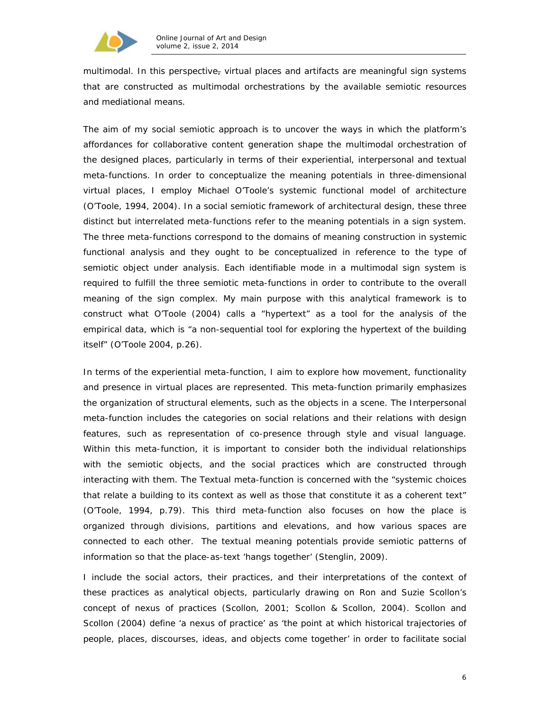

multimodal. In this perspective, virtual places and artifacts are meaningful *sign systems* that are constructed as multimodal orchestrations by the available *semiotic resources and mediational means*.

The aim of my social semiotic approach is to uncover the ways in which the platform's affordances for collaborative content generation shape the multimodal orchestration of the designed places, particularly in terms of their *experiential*, *interpersonal* and *textual meta-functions*. In order to conceptualize the meaning potentials in three-dimensional virtual places, I employ Michael O'Toole's systemic functional model of architecture (O'Toole, 1994, 2004). In a social semiotic framework of architectural design, these three distinct but interrelated meta-functions refer to the meaning potentials in a sign system. The three meta-functions correspond to the domains of meaning construction in systemic functional analysis and they ought to be conceptualized in reference to the type of semiotic object under analysis. Each identifiable mode in a multimodal sign system is required to fulfill the three semiotic meta-functions in order to contribute to the overall meaning of the sign complex. My main purpose with this analytical framework is to construct what O'Toole (2004) calls a "hypertext" as a tool for the analysis of the empirical data, which is "a non-sequential tool for exploring the hypertext of the building itself" (O'Toole 2004, p.26).

In terms of the *experiential* meta-function, I aim to explore how movement, functionality and presence in virtual places are represented. This meta-function primarily emphasizes the organization of structural elements, such as the objects in a scene. The *Interpersonal* meta-function includes the categories on social relations and their relations with design features, such as representation of co-presence through style and visual language. Within this meta-function, it is important to consider both the individual relationships with the semiotic objects, and the social practices which are constructed through interacting with them. The *Textual* meta-function is concerned with the "systemic choices that relate a building to its context as well as those that constitute it as a coherent text" (O'Toole, 1994, p.79). This third meta-function also focuses on how the place is organized through divisions, partitions and elevations, and how various spaces are connected to each other. The textual meaning potentials provide semiotic patterns of information so that the place-as-text 'hangs together' (Stenglin, 2009).

I include the social actors, their practices, and their interpretations of the context of these practices as analytical objects, particularly drawing on Ron and Suzie Scollon's concept of *nexus of practices* (Scollon, 2001; Scollon & Scollon, 2004). Scollon and Scollon (2004) define 'a nexus of practice' as 'the point at which historical trajectories of people, places, discourses, ideas, and objects come together' in order to facilitate social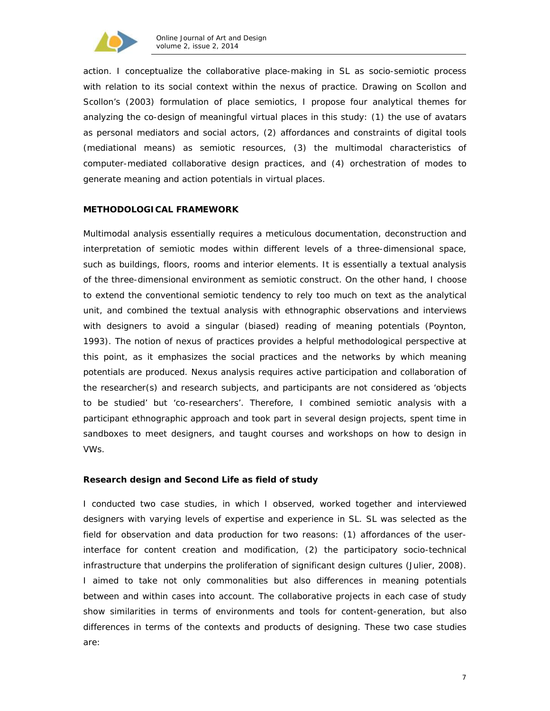

action. I conceptualize the collaborative place-making in SL as socio-semiotic process with relation to its social context within the *nexus of practice*. Drawing on Scollon and Scollon's (2003) formulation of place semiotics, I propose four analytical themes for analyzing the *co-design of meaningful virtual places* in this study: (1) the use of avatars as personal mediators and social actors, (2) affordances and constraints of digital tools (mediational means) as semiotic resources, (3) the multimodal characteristics of computer-mediated collaborative design practices, and (4) orchestration of modes to generate meaning and action potentials in virtual places.

#### **METHODOLOGICAL FRAMEWORK**

Multimodal analysis essentially requires a meticulous documentation, deconstruction and interpretation of semiotic modes within different levels of a three-dimensional space, such as buildings, floors, rooms and interior elements. It is essentially a textual analysis of the three-dimensional environment as semiotic construct. On the other hand, I choose to extend the conventional semiotic tendency to rely too much on text as the analytical unit, and combined the textual analysis with ethnographic observations and interviews with designers to avoid a singular (biased) reading of meaning potentials (Poynton, 1993). The notion of *nexus of practices* provides a helpful methodological perspective at this point, as it emphasizes the social practices and the networks by which meaning potentials are produced. Nexus analysis requires active participation and collaboration of the researcher(s) and research subjects, and participants are not considered as 'objects to be studied' but 'co-researchers'. Therefore, I combined semiotic analysis with a participant ethnographic approach and took part in several design projects, spent time in sandboxes to meet designers, and taught courses and workshops on how to design in VWs.

#### **Research design and Second Life as field of study**

I conducted two case studies, in which I observed, worked together and interviewed designers with varying levels of expertise and experience in SL. SL was selected as the field for observation and data production for two reasons: (1) affordances of the userinterface for content creation and modification, (2) the participatory socio-technical infrastructure that underpins the proliferation of significant design cultures (Julier, 2008). I aimed to take not only commonalities but also differences in meaning potentials between and within cases into account. The collaborative projects in each case of study show similarities in terms of environments and tools for content-generation, but also differences in terms of the contexts and products of designing. These two case studies are: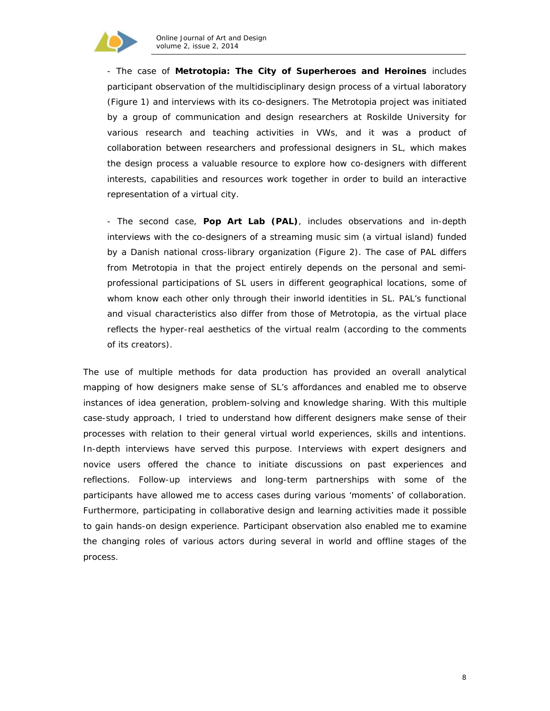

- The case of *Metrotopia***: The City of Superheroes and Heroines** includes participant observation of the multidisciplinary design process of a virtual laboratory (Figure 1) and interviews with its co-designers. The Metrotopia project was initiated by a group of communication and design researchers at Roskilde University for various research and teaching activities in VWs, and it was a product of collaboration between researchers and professional designers in SL, which makes the design process a valuable resource to explore how co-designers with different interests, capabilities and resources work together in order to build an interactive representation of a virtual city.

- The second case, *Pop Art Lab* **(PAL)**, includes observations and in-depth interviews with the co-designers of a streaming music sim (a virtual island) funded by a Danish national cross-library organization (Figure 2). The case of PAL differs from Metrotopia in that the project entirely depends on the personal and semiprofessional participations of SL users in different geographical locations, some of whom know each other only through their inworld identities in SL. PAL's functional and visual characteristics also differ from those of Metrotopia, as the virtual place reflects the hyper-real aesthetics of the virtual realm (according to the comments of its creators).

The use of multiple methods for data production has provided an overall analytical mapping of how designers make sense of SL's affordances and enabled me to observe instances of idea generation, problem-solving and knowledge sharing. With this multiple case-study approach, I tried to understand how different designers make sense of their processes with relation to their general virtual world experiences, skills and intentions. In-depth interviews have served this purpose. Interviews with expert designers and novice users offered the chance to initiate discussions on past experiences and reflections. Follow-up interviews and long-term partnerships with some of the participants have allowed me to access cases during various 'moments' of collaboration. Furthermore, participating in collaborative design and learning activities made it possible to gain hands-on design experience. Participant observation also enabled me to examine the changing roles of various actors during several in world and offline stages of the process.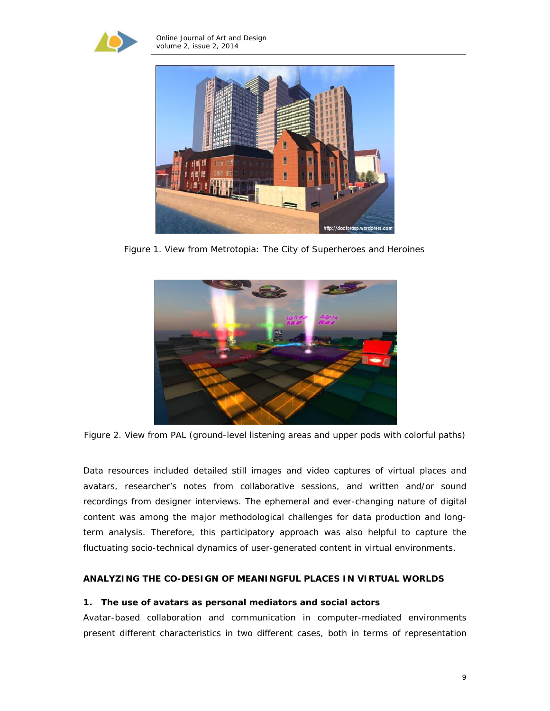



Figure 1. View from Metrotopia: The City of Superheroes and Heroines



Figure 2. View from PAL (ground-level listening areas and upper pods with colorful paths)

Data resources included detailed still images and video captures of virtual places and avatars, researcher's notes from collaborative sessions, and written and/or sound recordings from designer interviews. The ephemeral and ever-changing nature of digital content was among the major methodological challenges for data production and longterm analysis. Therefore, this participatory approach was also helpful to capture the fluctuating socio-technical dynamics of user-generated content in virtual environments.

### **ANALYZING THE CO-DESIGN OF MEANINGFUL PLACES IN VIRTUAL WORLDS**

### **1. The use of avatars as personal mediators and social actors**

Avatar-based collaboration and communication in computer-mediated environments present different characteristics in two different cases, both in terms of representation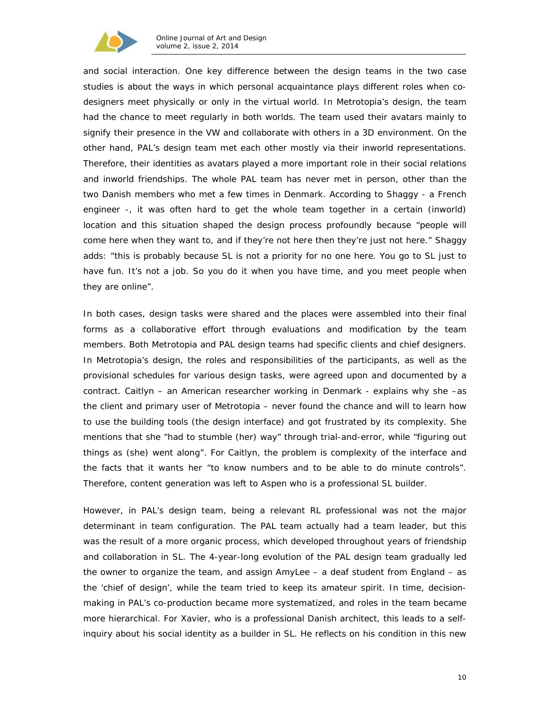

and social interaction. One key difference between the design teams in the two case studies is about the ways in which personal acquaintance plays different roles when codesigners meet physically or only in the virtual world. In Metrotopia's design, the team had the chance to meet regularly in both worlds. The team used their avatars mainly to signify their presence in the VW and collaborate with others in a 3D environment. On the other hand, PAL's design team met each other mostly via their inworld representations. Therefore, their identities as avatars played a more important role in their social relations and inworld friendships. The whole PAL team has never met in person, other than the two Danish members who met a few times in Denmark. According to Shaggy - a French engineer -, it was often hard to get the whole team together in a certain (inworld) location and this situation shaped the design process profoundly because "people will come here when they want to, and if they're not here then they're just not here." Shaggy adds: "this is probably because SL is not a priority for no one here. You go to SL just to have fun. It's not a job. So you do it when you have time, and you meet people when they are online".

In both cases, design tasks were shared and the places were assembled into their final forms as a collaborative effort through evaluations and modification by the team members. Both Metrotopia and PAL design teams had specific clients and chief designers. In Metrotopia's design, the roles and responsibilities of the participants, as well as the provisional schedules for various design tasks, were agreed upon and documented by a contract. Caitlyn – an American researcher working in Denmark - explains why she –as the client and primary user of Metrotopia – never found the chance and will to learn how to use the building tools (the design interface) and got frustrated by its complexity. She mentions that she "had to stumble (her) way" through trial-and-error, while "figuring out things as (she) went along". For Caitlyn, the problem is complexity of the interface and the facts that it wants her "to know numbers and to be able to do minute controls". Therefore, content generation was left to Aspen who is a professional SL builder.

However, in PAL's design team, being a relevant RL professional was not the major determinant in team configuration. The PAL team actually had a team leader, but this was the result of a more organic process, which developed throughout years of friendship and collaboration in SL. The 4-year-long evolution of the PAL design team gradually led the owner to organize the team, and assign AmyLee – a deaf student from England – as the 'chief of design', while the team tried to keep its amateur spirit. In time, decisionmaking in PAL's co-production became more systematized, and roles in the team became more hierarchical. For Xavier, who is a professional Danish architect, this leads to a selfinquiry about his social identity as a builder in SL. He reflects on his condition in this new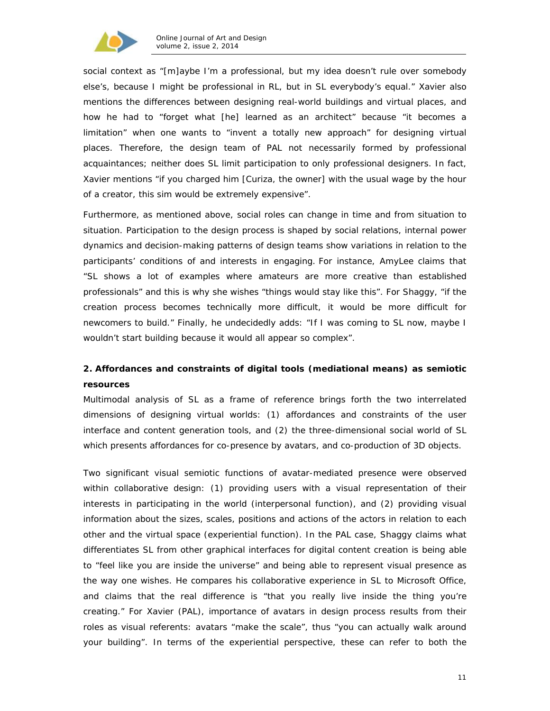

social context as "[m]aybe I'm a professional, but my idea doesn't rule over somebody else's, because I might be professional in RL, but in SL everybody's equal." Xavier also mentions the differences between designing real-world buildings and virtual places, and how he had to "forget what [he] learned as an architect" because "it becomes a limitation" when one wants to "invent a totally new approach" for designing virtual places. Therefore, the design team of PAL not necessarily formed by professional acquaintances; neither does SL limit participation to only professional designers. In fact, Xavier mentions "if you charged him [Curiza, the owner] with the usual wage by the hour of a creator, this sim would be extremely expensive".

Furthermore, as mentioned above, social roles can change in time and from situation to situation. Participation to the design process is shaped by social relations, internal power dynamics and decision-making patterns of design teams show variations in relation to the participants' conditions of and interests in engaging. For instance, AmyLee claims that "SL shows a lot of examples where amateurs are more creative than established professionals" and this is why she wishes "things would stay like this". For Shaggy, "if the creation process becomes technically more difficult, it would be more difficult for newcomers to build." Finally, he undecidedly adds: "If I was coming to SL now, maybe I wouldn't start building because it would all appear so complex".

# **2. Affordances and constraints of digital tools (mediational means) as semiotic resources**

Multimodal analysis of SL as a frame of reference brings forth the two interrelated dimensions of designing virtual worlds: (1) affordances and constraints of the user interface and content generation tools, and (2) the three-dimensional social world of SL which presents affordances for co-presence by avatars, and co-production of 3D objects.

Two significant visual semiotic functions of avatar-mediated presence were observed within collaborative design: (1) providing users with a visual representation of their interests in participating in the world (interpersonal function), and (2) providing visual information about the sizes, scales, positions and actions of the actors in relation to each other and the virtual space (experiential function). In the PAL case, Shaggy claims what differentiates SL from other graphical interfaces for digital content creation is being able to "feel like you are inside the universe" and being able to represent visual presence as the way one wishes. He compares his collaborative experience in SL to Microsoft Office, and claims that the real difference is "that you really live inside the thing you're creating." For Xavier (PAL), importance of avatars in design process results from their roles as visual referents: avatars "make the scale", thus "you can actually walk around your building". In terms of the experiential perspective, these can refer to both the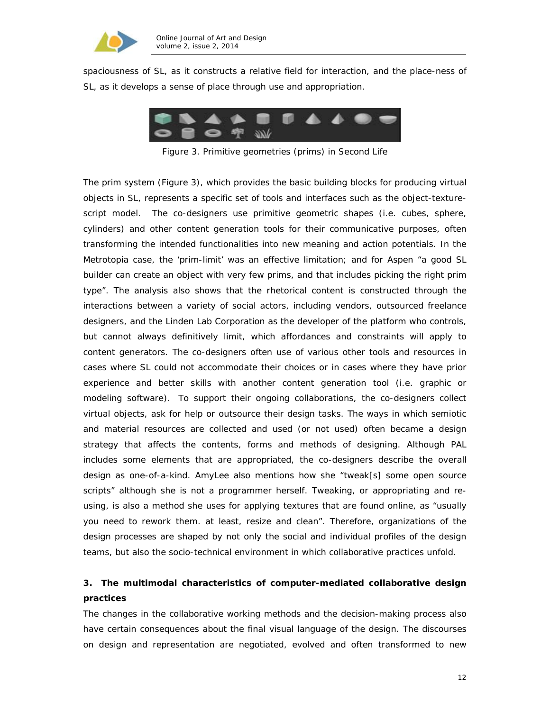

spaciousness of SL, as it constructs a relative field for interaction, and the place-ness of SL, as it develops a sense of place through use and appropriation.



Figure 3. Primitive geometries (prims) in Second Life

The prim system (Figure 3), which provides the basic building blocks for producing virtual objects in SL, represents a specific set of tools and interfaces such as the object-texturescript model. The co-designers use primitive geometric shapes (i.e. cubes, sphere, cylinders) and other content generation tools for their communicative purposes, often transforming the intended functionalities into new meaning and action potentials. In the Metrotopia case, the 'prim-limit' was an effective limitation; and for Aspen "a good SL builder can create an object with very few prims, and that includes picking the right prim type". The analysis also shows that the rhetorical content is constructed through the interactions between a variety of social actors, including vendors, outsourced freelance designers, and the Linden Lab Corporation as the developer of the platform who controls, but cannot always definitively limit, which affordances and constraints will apply to content generators. The co-designers often use of various other tools and resources in cases where SL could not accommodate their choices or in cases where they have prior experience and better skills with another content generation tool (i.e. graphic or modeling software). To support their ongoing collaborations, the co-designers collect virtual objects, ask for help or outsource their design tasks. The ways in which semiotic and material resources are collected and used (or not used) often became a design strategy that affects the contents, forms and methods of designing. Although PAL includes some elements that are appropriated, the co-designers describe the overall design as one-of-a-kind. AmyLee also mentions how she "tweak[s] some open source scripts" although she is not a programmer herself. Tweaking, or appropriating and reusing, is also a method she uses for applying textures that are found online, as "usually you need to rework them. at least, resize and clean". Therefore, organizations of the design processes are shaped by not only the social and individual profiles of the design teams, but also the socio-technical environment in which collaborative practices unfold.

# **3. The multimodal characteristics of computer-mediated collaborative design practices**

The changes in the collaborative working methods and the decision-making process also have certain consequences about the final visual language of the design. The discourses on design and representation are negotiated, evolved and often transformed to new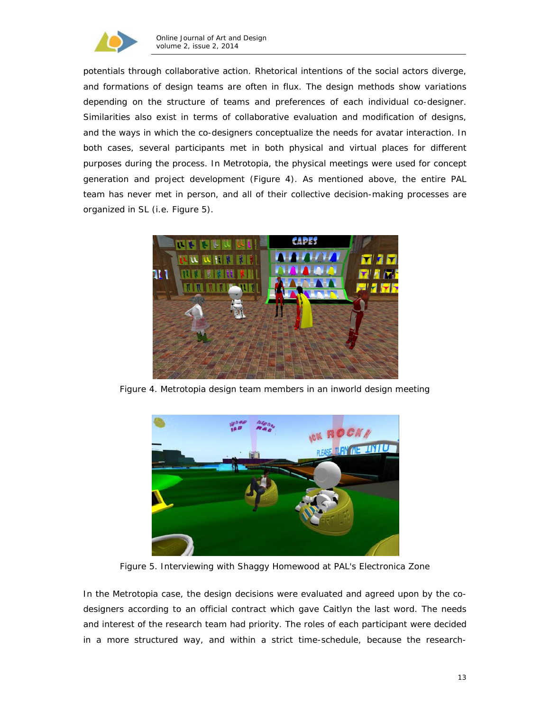

potentials through collaborative action. Rhetorical intentions of the social actors diverge, and formations of design teams are often in flux. The design methods show variations depending on the structure of teams and preferences of each individual co-designer. Similarities also exist in terms of collaborative evaluation and modification of designs, and the ways in which the co-designers conceptualize the needs for avatar interaction. In both cases, several participants met in both physical and virtual places for different purposes during the process. In Metrotopia, the physical meetings were used for concept generation and project development (Figure 4). As mentioned above, the entire PAL team has never met in person, and all of their collective decision-making processes are organized in SL (i.e. Figure 5).



Figure 4. Metrotopia design team members in an inworld design meeting



Figure 5. Interviewing with Shaggy Homewood at PAL's Electronica Zone

In the Metrotopia case, the design decisions were evaluated and agreed upon by the codesigners according to an official contract which gave Caitlyn the last word. The needs and interest of the research team had priority. The roles of each participant were decided in a more structured way, and within a strict time-schedule, because the research-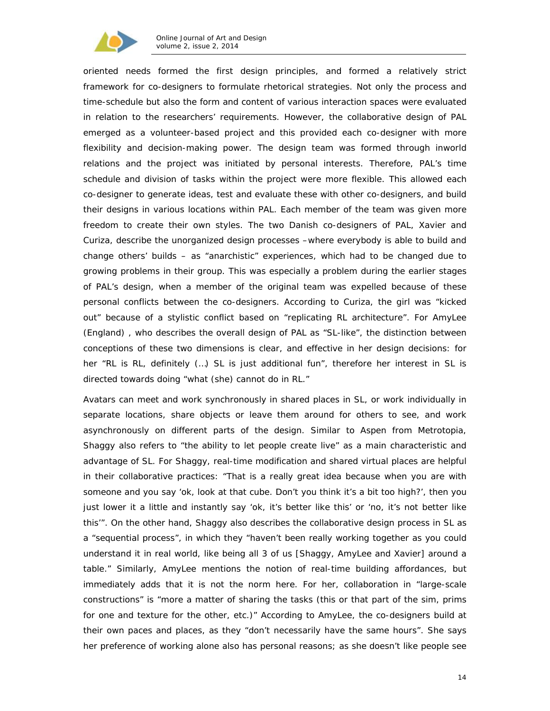

oriented needs formed the first design principles, and formed a relatively strict framework for co-designers to formulate rhetorical strategies. Not only the process and time-schedule but also the form and content of various interaction spaces were evaluated in relation to the researchers' requirements. However, the collaborative design of PAL emerged as a volunteer-based project and this provided each co-designer with more flexibility and decision-making power. The design team was formed through inworld relations and the project was initiated by personal interests. Therefore, PAL's time schedule and division of tasks within the project were more flexible. This allowed each co-designer to generate ideas, test and evaluate these with other co-designers, and build their designs in various locations within PAL. Each member of the team was given more freedom to create their own styles. The two Danish co-designers of PAL, Xavier and Curiza, describe the unorganized design processes –where everybody is able to build and change others' builds – as "*anarchistic*" experiences, which had to be changed due to growing problems in their group. This was especially a problem during the earlier stages of PAL's design, when a member of the original team was expelled because of these personal conflicts between the co-designers. According to Curiza, the girl was "*kicked out*" because of a stylistic conflict based on "*replicating RL architecture".* For AmyLee (England) , who describes the overall design of PAL as "*SL-like*", the distinction between conceptions of these two dimensions is clear, and effective in her design decisions: for her "*RL is RL, definitely (…) SL is just additional fun*", therefore her interest in SL is directed towards doing "*what (she) cannot do in RL."*

Avatars can meet and work synchronously in shared places in SL, or work individually in separate locations, share objects or leave them around for others to see, and work asynchronously on different parts of the design. Similar to Aspen from Metrotopia, Shaggy also refers to "the ability to let people create live" as a main characteristic and advantage of SL. For Shaggy, real-time modification and shared virtual places are helpful in their collaborative practices: "That is a really great idea because when you are with someone and you say 'ok, look at that cube. Don't you think it's a bit too high?', then you just lower it a little and instantly say 'ok, it's better like this' or 'no, it's not better like this'". On the other hand, Shaggy also describes the collaborative design process in SL as a "sequential process", in which they "haven't been really working together as you could understand it in real world, like being all 3 of us [Shaggy, AmyLee and Xavier] around a table." Similarly, AmyLee mentions the notion of real-time building affordances, but immediately adds that it is not the norm here. For her, collaboration in "large-scale constructions" is "more a matter of sharing the tasks (this or that part of the sim, prims for one and texture for the other, etc.)" According to AmyLee, the co-designers build at their own paces and places, as they "don't necessarily have the same hours". She says her preference of working alone also has personal reasons; as she doesn't like people see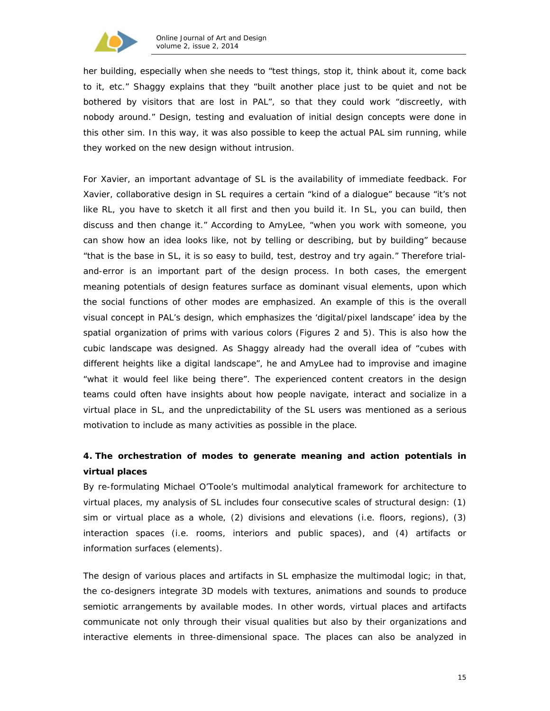

her building, especially when she needs to "test things, stop it, think about it, come back to it, etc." Shaggy explains that they "built another place just to be quiet and not be bothered by visitors that are lost in PAL", so that they could work "discreetly, with nobody around." Design, testing and evaluation of initial design concepts were done in this other sim. In this way, it was also possible to keep the actual PAL sim running, while they worked on the new design without intrusion.

For Xavier, an important advantage of SL is the availability of immediate feedback. For Xavier, collaborative design in SL requires a certain "kind of a dialogue" because "it's not like RL, you have to sketch it all first and then you build it. In SL, you can build, then discuss and then change it." According to AmyLee, "when you work with someone, you can show how an idea looks like, not by telling or describing, but by building" because "that is the base in SL, it is so easy to build, test, destroy and try again." Therefore trialand-error is an important part of the design process. In both cases, the emergent meaning potentials of design features surface as dominant visual elements, upon which the social functions of other modes are emphasized. An example of this is the overall visual concept in PAL's design, which emphasizes the 'digital/pixel landscape' idea by the spatial organization of prims with various colors (Figures 2 and 5). This is also how the cubic landscape was designed. As Shaggy already had the overall idea of "cubes with different heights like a digital landscape", he and AmyLee had to improvise and imagine "what it would feel like being there". The experienced content creators in the design teams could often have insights about how people navigate, interact and socialize in a virtual place in SL, and the unpredictability of the SL users was mentioned as a serious motivation to include as many activities as possible in the place.

# **4. The orchestration of modes to generate meaning and action potentials in virtual places**

By re-formulating Michael O'Toole's multimodal analytical framework for architecture to virtual places, my analysis of SL includes four consecutive scales of structural design: (1) sim or virtual place as a whole, (2) divisions and elevations (i.e. floors, regions), (3) interaction spaces (i.e. rooms, interiors and public spaces), and (4) artifacts or information surfaces (elements).

The design of various places and artifacts in SL emphasize the multimodal logic; in that, the co-designers integrate 3D models with textures, animations and sounds to produce semiotic arrangements by available modes. In other words, virtual places and artifacts communicate not only through their visual qualities but also by their organizations and interactive elements in three-dimensional space. The places can also be analyzed in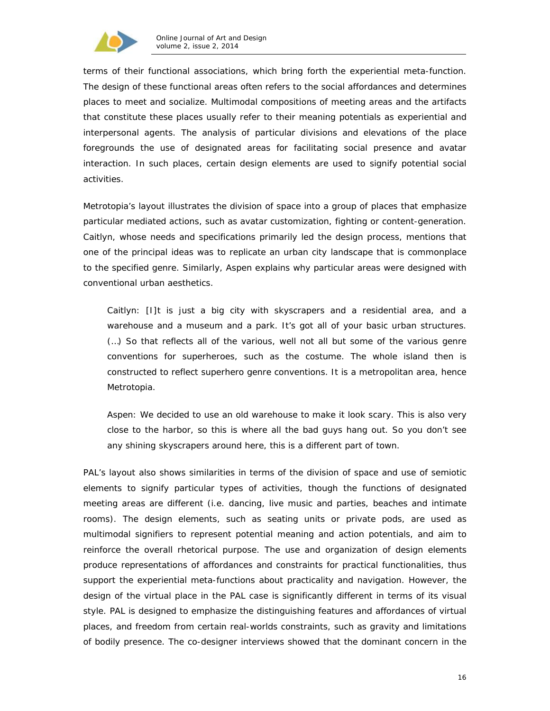

terms of their functional associations, which bring forth the experiential meta-function. The design of these functional areas often refers to the social affordances and determines places to meet and socialize. Multimodal compositions of meeting areas and the artifacts that constitute these places usually refer to their meaning potentials as experiential and interpersonal agents. The analysis of particular divisions and elevations of the place foregrounds the use of designated areas for facilitating social presence and avatar interaction. In such places, certain design elements are used to signify potential social activities.

Metrotopia's layout illustrates the division of space into a group of places that emphasize particular mediated actions, such as avatar customization, fighting or content-generation. Caitlyn, whose needs and specifications primarily led the design process, mentions that one of the principal ideas was to replicate an urban city landscape that is commonplace to the specified genre. Similarly, Aspen explains why particular areas were designed with conventional urban aesthetics.

Caitlyn: [I]t is just a *big city* with skyscrapers and a residential area, and a warehouse and a museum and a park. It's got all of your *basic urban structures*. (…) So that reflects all of the various, well not all but some of the various genre conventions for superheroes, such as the costume. The whole island then is constructed to reflect superhero genre conventions. *It is a metropolitan area, hence Metrotopia.* 

Aspen: We decided to use an old warehouse to *make it look scary*. This is also very close to the harbor, so this is *where all the bad guys hang out*. So you don't see any shining skyscrapers around here, this is *a different part of town*.

PAL's layout also shows similarities in terms of the division of space and use of semiotic elements to signify particular types of activities, though the functions of designated meeting areas are different (i.e. dancing, live music and parties, beaches and intimate rooms). The design elements, such as seating units or private pods, are used as multimodal signifiers to represent potential meaning and action potentials, and aim to reinforce the overall rhetorical purpose. The use and organization of design elements produce representations of affordances and constraints for practical functionalities, thus support the experiential meta-functions about practicality and navigation. However, the design of the virtual place in the PAL case is significantly different in terms of its visual style. PAL is designed to emphasize the distinguishing features and affordances of virtual places, and freedom from certain real-worlds constraints, such as gravity and limitations of bodily presence. The co-designer interviews showed that the dominant concern in the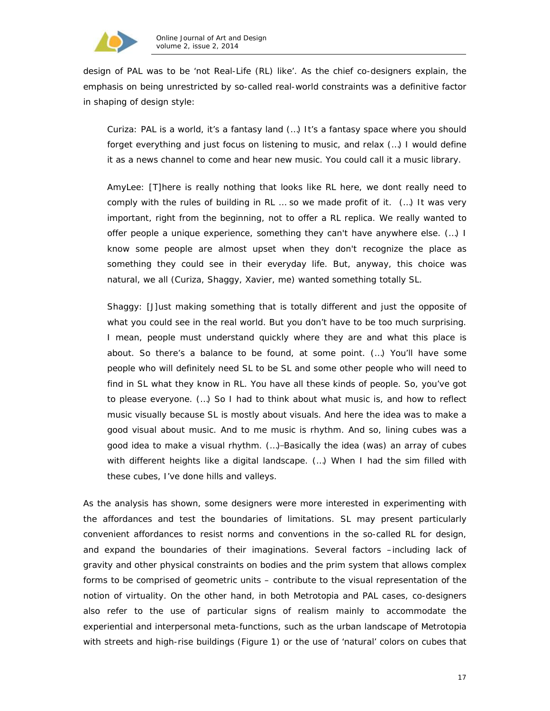

design of PAL was to be 'not Real-Life (RL) like'. As the chief co-designers explain, the emphasis on being unrestricted by so-called real-world constraints was a definitive factor in shaping of design style:

Curiza: PAL is a world, it's a fantasy land (…) It's a fantasy space where you should forget everything and just focus on listening to music, and relax (…) I would define it as a *news channel* to come and hear new music. You could call it a *music library*.

AmyLee: [T]here is really nothing that *looks like RL* here, we dont really need to comply with the *rules of building in RL* … so we made profit of it. (…) It was very important, right from the beginning, not to offer a RL replica. We really wanted to offer people a unique experience, something they can't have anywhere else. (…) I know some people are almost upset when they don't recognize the place as something they could see in their everyday life. But, anyway, this choice was natural, we all (Curiza, Shaggy, Xavier, me) wanted something totally SL.

Shaggy: [J]ust making something that is totally different and just the opposite of what you could see in the real world. But you don't have to be too much surprising. I mean, people must understand quickly where they are and what this place is about. So there's a balance to be found, at some point. (…) You'll have some people who will definitely need SL to be SL and some other people who will need to find in SL what they know in RL. You have all these kinds of people. So, you've got to please everyone. (…) So I had to think about *what music is*, and how to reflect music visually because SL is mostly about visuals. And here the idea was to make a good visual about music. And to me *music is rhythm*. And so, lining cubes was a good idea to *make a visual rhythm.* (...)-Basically the idea (was) an array of cubes with different heights like a digital landscape. (…) When I had the sim filled with these cubes, I've done hills and valleys.

As the analysis has shown, some designers were more interested in experimenting with the affordances and test the boundaries of limitations. SL may present particularly convenient affordances to resist norms and conventions in the so-called RL for design, and expand the boundaries of their imaginations. Several factors –including lack of gravity and other physical constraints on bodies and the prim system that allows complex forms to be comprised of geometric units – contribute to the visual representation of the notion of *virtuality*. On the other hand, in both Metrotopia and PAL cases, co-designers also refer to the use of particular *signs of realism* mainly to accommodate the experiential and interpersonal meta-functions, such as the urban landscape of Metrotopia with streets and high-rise buildings (Figure 1) or the use of '*natural'* colors on cubes that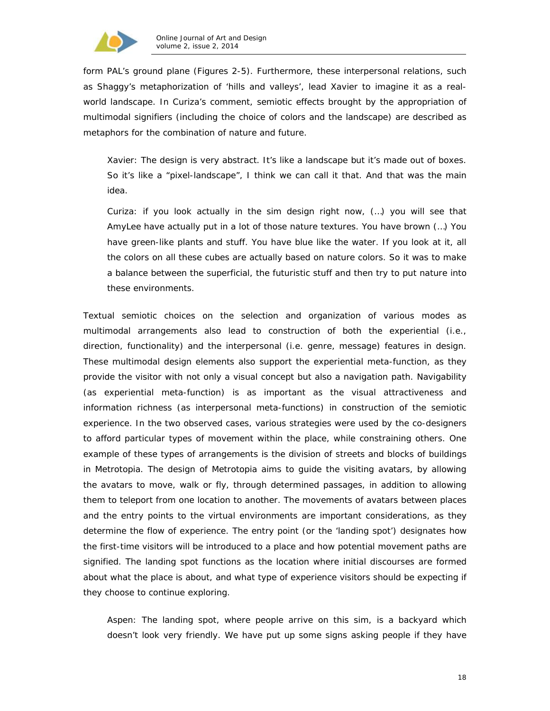

form PAL's ground plane (Figures 2-5). Furthermore, these interpersonal relations, such as Shaggy's metaphorization of 'hills and valleys', lead Xavier to imagine it as a realworld landscape. In Curiza's comment, semiotic effects brought by the appropriation of multimodal signifiers (including the choice of colors and the landscape) are described as metaphors for the combination of nature and future.

Xavier: The design is very abstract. It's like a landscape but it's made out of boxes. So it's like a "pixel-landscape", I think we can call it that. And that was the main idea.

Curiza: if you look actually in the sim design right now, (…) you will see that AmyLee have actually put in a lot of those nature textures. You have brown (…) You have green-like plants and stuff. You have blue like the water. If you look at it, all the colors on all these cubes are actually based on nature colors. So it was to make a balance between the superficial, the futuristic stuff and then try to put nature into these environments.

Textual semiotic choices on the selection and organization of various modes as multimodal arrangements also lead to construction of both the experiential (i.e., direction, functionality) and the interpersonal (i.e. genre, message) features in design. These multimodal design elements also support the experiential meta-function, as they provide the visitor with not only a visual concept but also a navigation path. *Navigability* (as experiential meta-function) is as important as the visual attractiveness and information richness (as interpersonal meta-functions) in construction of the semiotic experience. In the two observed cases, various strategies were used by the co-designers to afford particular types of movement within the place, while constraining others. One example of these types of arrangements is the division of streets and blocks of buildings in Metrotopia. The design of Metrotopia aims to guide the visiting avatars, by allowing the avatars to move, walk or fly, through determined passages, in addition to allowing them to teleport from one location to another. The movements of avatars between places and the entry points to the virtual environments are important considerations, as they determine the flow of experience. The entry point (or the 'landing spot') designates how the first-time visitors will be introduced to a place and how potential movement paths are signified. The landing spot functions as the location where initial discourses are formed about what the place is about, and what type of experience visitors should be expecting if they choose to continue exploring.

Aspen: The landing spot, where people arrive on this sim, is a backyard which doesn't look very friendly. We have put up some signs asking people if they have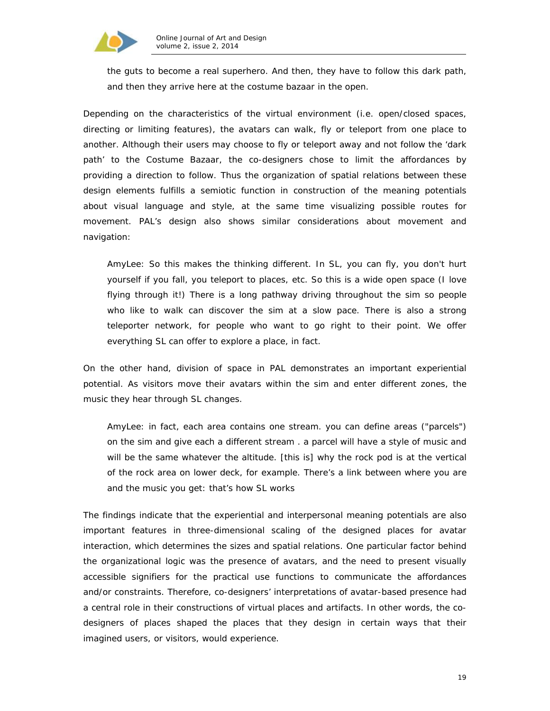

the guts to become a real superhero. And then, they have to follow this dark path, and then they arrive here at the costume bazaar in the open.

Depending on the characteristics of the virtual environment (i.e. open/closed spaces, directing or limiting features), the avatars can walk, fly or teleport from one place to another. Although their users may choose to fly or teleport away and not follow the 'dark path' to the Costume Bazaar, the co-designers chose to limit the affordances by providing a direction to follow. Thus the organization of spatial relations between these design elements fulfills a semiotic function in construction of the meaning potentials about visual language and style, at the same time visualizing possible routes for movement. PAL's design also shows similar considerations about movement and navigation:

AmyLee: So this makes the thinking different. In SL, you can fly, you don't hurt yourself if you fall, you teleport to places, etc. So this is a wide open space (I love flying through it!) There is a long pathway driving throughout the sim so people who like to walk can discover the sim at a slow pace. There is also a strong teleporter network, for people who want to go right to their point. We offer everything SL can offer to explore a place, in fact.

On the other hand, division of space in PAL demonstrates an important experiential potential. As visitors move their avatars within the sim and enter different zones, the music they hear through SL changes.

AmyLee: in fact, each area contains one stream. you can define areas ("parcels") on the sim and give each a different stream . a parcel will have a style of music and will be the same whatever the altitude. [this is] why the rock pod is at the vertical of the rock area on lower deck, for example. There's a link between where you are and the music you get: that's how SL works

The findings indicate that the experiential and interpersonal meaning potentials are also important features in three-dimensional scaling of the designed places for avatar interaction, which determines the sizes and spatial relations. One particular factor behind the organizational logic was the presence of avatars, and the need to present visually accessible signifiers for the practical use functions to communicate the affordances and/or constraints. Therefore, co-designers' interpretations of avatar-based presence had a central role in their constructions of virtual places and artifacts. In other words, the codesigners of places shaped the places that they design in certain ways that their imagined users, or visitors, would experience.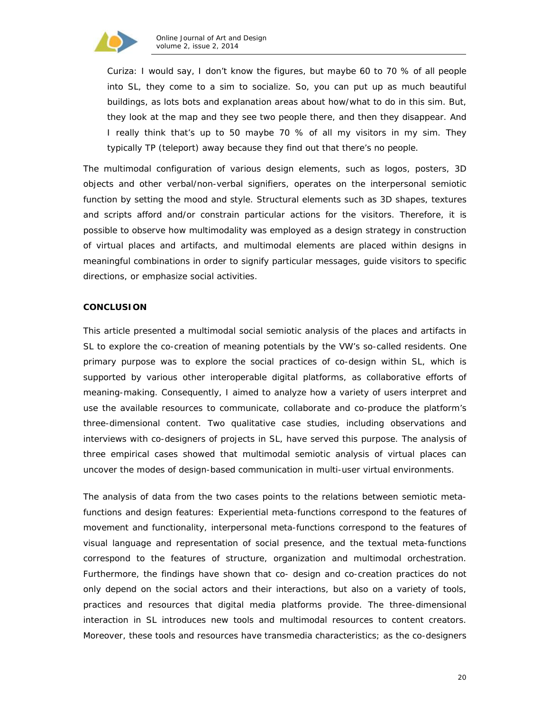

Curiza: I would say, I don't know the figures, but maybe 60 to 70 % of all people into SL, they come to a sim to *socialize*. So, *you can put up as much beautiful buildings*, as lots bots and explanation areas about how/what to do in this sim. But, they look at the map and they see two people there, and then they disappear. And I really think that's up to 50 maybe 70 % of all my visitors in my sim. They typically TP (teleport) away because they find out that there's *no people.*

The multimodal configuration of various design elements, such as logos, posters, 3D objects and other verbal/non-verbal signifiers, operates on the interpersonal semiotic function by setting the mood and style. Structural elements such as 3D shapes, textures and scripts afford and/or constrain particular actions for the visitors. Therefore, it is possible to observe how multimodality was employed as a design strategy in construction of virtual places and artifacts, and multimodal elements are placed within designs in meaningful combinations in order to signify particular messages, guide visitors to specific directions, or emphasize social activities.

#### **CONCLUSION**

This article presented a multimodal social semiotic analysis of the places and artifacts in SL to explore the co-creation of meaning potentials by the VW's so-called residents. One primary purpose was to explore the social practices of co-design within SL, which is supported by various other interoperable digital platforms, as collaborative efforts of meaning-making. Consequently, I aimed to analyze how a variety of users interpret and use the available resources to communicate, collaborate and co-produce the platform's three-dimensional content. Two qualitative case studies, including observations and interviews with co-designers of projects in SL, have served this purpose. The analysis of three empirical cases showed that multimodal semiotic analysis of virtual places can uncover the modes of design-based communication in multi-user virtual environments.

The analysis of data from the two cases points to the relations between semiotic metafunctions and design features: *Experiential* meta-functions correspond to the features of movement and functionality, *interpersonal* meta-functions correspond to the features of visual language and representation of social presence, and the *textual* meta-functions correspond to the features of structure, organization and multimodal orchestration. Furthermore, the findings have shown that co- design and co-creation practices do not only depend on the social actors and their interactions, but also on a variety of tools, practices and resources that digital media platforms provide. The three-dimensional interaction in SL introduces new tools and multimodal resources to content creators. Moreover, these tools and resources have *transmedia* characteristics; as the co-designers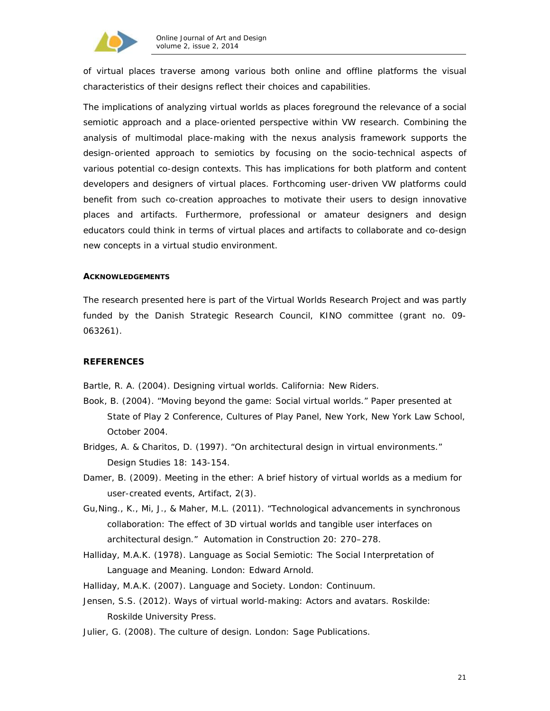

of virtual places traverse among various both online and offline platforms the visual characteristics of their designs reflect their choices and capabilities.

The implications of analyzing virtual worlds as places foreground the relevance of a social semiotic approach and a place-oriented perspective within VW research. Combining the analysis of multimodal place-making with the *nexus analysis* framework supports the design-oriented approach to semiotics by focusing on the socio-technical aspects of various potential co-design contexts. This has implications for both platform and content developers and designers of virtual places. Forthcoming user-driven VW platforms could benefit from such co-creation approaches to motivate their users to design innovative places and artifacts. Furthermore, professional or amateur designers and design educators could think in terms of virtual places and artifacts to collaborate and co-design new concepts in a *virtual studio* environment.

#### **ACKNOWLEDGEMENTS**

The research presented here is part of the Virtual Worlds Research Project and was partly funded by the Danish Strategic Research Council, KINO committee (grant no. 09- 063261).

#### **REFERENCES**

Bartle, R. A. (2004). *Designing virtual worlds*. California: New Riders.

- Book, B. (2004). "Moving beyond the game: Social virtual worlds." Paper presented at State of Play 2 Conference, Cultures of Play Panel, New York, New York Law School, October 2004.
- Bridges, A. & Charitos, D. (1997). "On architectural design in virtual environments." *Design Studies* 18: 143-154.
- Damer, B. (2009). Meeting in the ether: A brief history of virtual worlds as a medium for user-created events, *Artifact*, 2(3).
- Gu,Ning., K., Mi, J., & Maher, M.L. (2011). "Technological advancements in synchronous collaboration: The effect of 3D virtual worlds and tangible user interfaces on architectural design." *Automation in Construction* 20: 270–278.
- Halliday, M.A.K. (1978). *Language as Social Semiotic: The Social Interpretation of Language and Meaning.* London: Edward Arnold.
- Halliday, M.A.K. (2007). *Language and Society*. London: Continuum.
- Jensen, S.S. (2012). *Ways of virtual world-making: Actors and avatars.* Roskilde: Roskilde University Press.
- Julier, G. (2008). *The culture of design*. London: Sage Publications.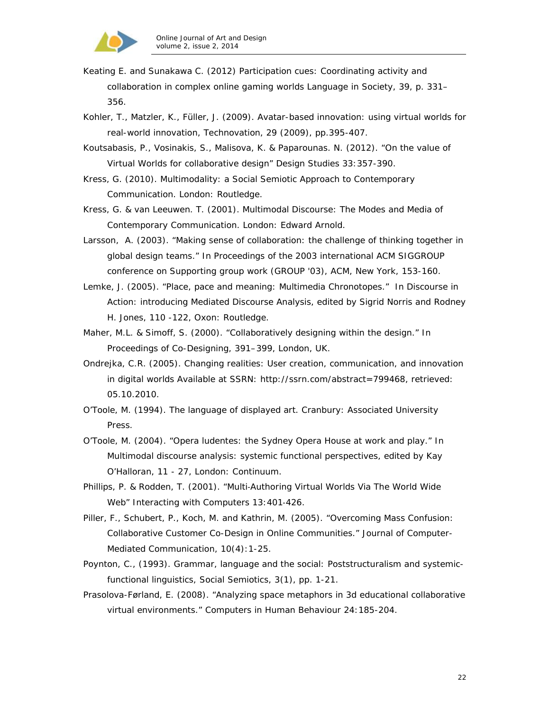

- Keating E. and Sunakawa C. (2012) Participation cues: Coordinating activity and collaboration in complex online gaming worlds Language in Society, 39, p. 331– 356.
- Kohler, T., Matzler, K., Füller, J. (2009). Avatar-based innovation: using virtual worlds for real-world innovation, *Technovation*, 29 (2009), pp.395-407.
- Koutsabasis, P., Vosinakis, S., Malisova, K. & Paparounas. N. (2012). "On the value of Virtual Worlds for collaborative design" *Design Studies* 33:357-390.
- Kress, G. (2010). *Multimodality: a Social Semiotic Approach to Contemporary Communication*. London: Routledge.
- Kress, G. & van Leeuwen. T. (2001). *Multimodal Discourse: The Modes and Media of Contemporary Communication*. London: Edward Arnold.
- Larsson, A. (2003). "Making sense of collaboration: the challenge of thinking together in global design teams." In *Proceedings of the 2003 international ACM SIGGROUP conference on Supporting group work (GROUP '03)*, ACM, New York, 153-160.
- Lemke, J. (2005). "Place, pace and meaning: Multimedia Chronotopes." In *Discourse in Action: introducing Mediated Discourse Analysis,* edited by Sigrid Norris and Rodney H. Jones, 110 -122, Oxon: Routledge.
- Maher, M.L. & Simoff, S. (2000). "Collaboratively designing within the design." In *Proceedings of Co-Designing*, 391–399, London, UK.
- Ondrejka, C.R. (2005). Changing realities: User creation, communication, and innovation in digital worlds Available at SSRN: http://ssrn.com/abstract=799468, retrieved: 05.10.2010.
- O'Toole, M. (1994). *The language of displayed art*. Cranbury: Associated University Press.
- O'Toole, M. (2004). "Opera ludentes: the Sydney Opera House at work and play." In *Multimodal discourse analysis: systemic functional perspectives, edited by Kay* O'Halloran, 11 - 27, London: Continuum.
- Phillips, P. & Rodden, T. (2001). "Multi‐Authoring Virtual Worlds Via The World Wide Web" *Interacting with Computers* 13:401‐426.
- Piller, F., Schubert, P., Koch, M. and Kathrin, M. (2005). "Overcoming Mass Confusion: Collaborative Customer Co-Design in Online Communities." *Journal of Computer-Mediated Communication*, 10(4):1-25.
- Poynton, C., (1993). Grammar, language and the social: Poststructuralism and systemicfunctional linguistics, *Social Semiotics*, 3(1), pp. 1-21.
- Prasolova-Førland, E. (2008). "Analyzing space metaphors in 3d educational collaborative virtual environments." *Computers in Human Behaviour* 24:185-204.